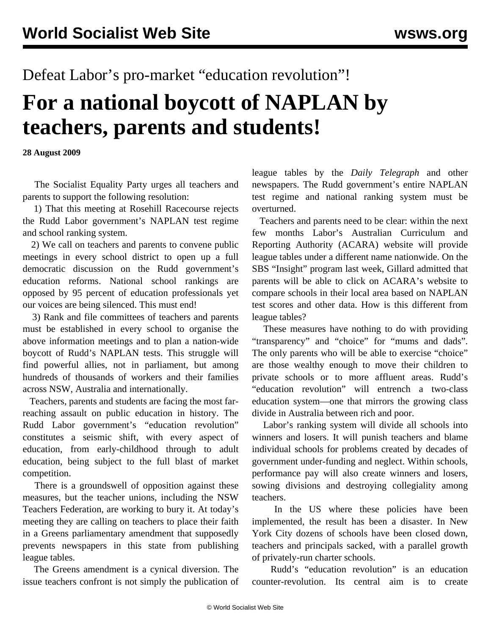## Defeat Labor's pro-market "education revolution"!

## **For a national boycott of NAPLAN by teachers, parents and students!**

**28 August 2009**

 The Socialist Equality Party urges all teachers and parents to support the following resolution:

 1) That this meeting at Rosehill Racecourse rejects the Rudd Labor government's NAPLAN test regime and school ranking system.

 2) We call on teachers and parents to convene public meetings in every school district to open up a full democratic discussion on the Rudd government's education reforms. National school rankings are opposed by 95 percent of education professionals yet our voices are being silenced. This must end!

 3) Rank and file committees of teachers and parents must be established in every school to organise the above information meetings and to plan a nation-wide boycott of Rudd's NAPLAN tests. This struggle will find powerful allies, not in parliament, but among hundreds of thousands of workers and their families across NSW, Australia and internationally.

 Teachers, parents and students are facing the most farreaching assault on public education in history. The Rudd Labor government's "education revolution" constitutes a seismic shift, with every aspect of education, from early-childhood through to adult education, being subject to the full blast of market competition.

 There is a groundswell of opposition against these measures, but the teacher unions, including the NSW Teachers Federation, are working to bury it. At today's meeting they are calling on teachers to place their faith in a Greens parliamentary amendment that supposedly prevents newspapers in this state from publishing league tables.

 The Greens amendment is a cynical diversion. The issue teachers confront is not simply the publication of league tables by the *Daily Telegraph* and other newspapers. The Rudd government's entire NAPLAN test regime and national ranking system must be overturned.

 Teachers and parents need to be clear: within the next few months Labor's Australian Curriculum and Reporting Authority (ACARA) website will provide league tables under a different name nationwide. On the SBS "Insight" program last week, Gillard admitted that parents will be able to click on ACARA's website to compare schools in their local area based on NAPLAN test scores and other data. How is this different from league tables?

 These measures have nothing to do with providing "transparency" and "choice" for "mums and dads". The only parents who will be able to exercise "choice" are those wealthy enough to move their children to private schools or to more affluent areas. Rudd's "education revolution" will entrench a two-class education system—one that mirrors the growing class divide in Australia between rich and poor.

 Labor's ranking system will divide all schools into winners and losers. It will punish teachers and blame individual schools for problems created by decades of government under-funding and neglect. Within schools, performance pay will also create winners and losers, sowing divisions and destroying collegiality among teachers.

In the US where these policies have been implemented, the result has been a disaster. In New York City dozens of schools have been closed down, teachers and principals sacked, with a parallel growth of privately-run charter schools.

 Rudd's "education revolution" is an education counter-revolution. Its central aim is to create